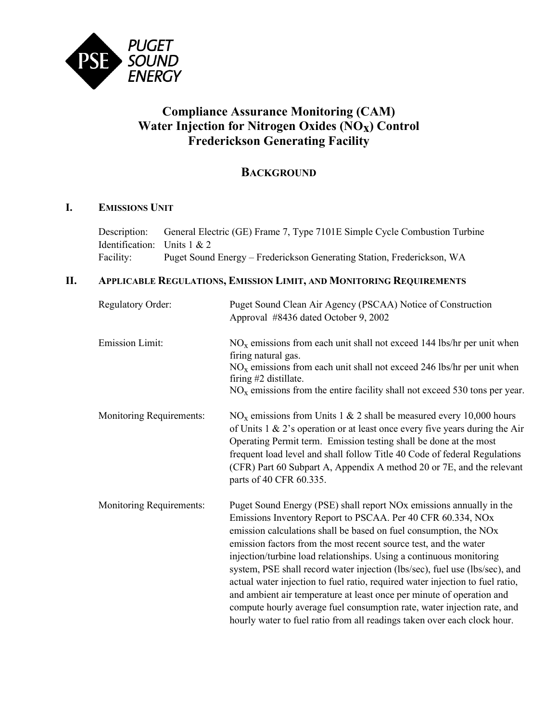

# **Compliance Assurance Monitoring (CAM) Water Injection for Nitrogen Oxides (NOx) Control Frederickson Generating Facility**

## **BACKGROUND**

### **I. EMISSIONS UNIT**

Description: General Electric (GE) Frame 7, Type 7101E Simple Cycle Combustion Turbine Identification: Units 1 & 2 Facility: Puget Sound Energy – Frederickson Generating Station, Frederickson, WA

#### **II. APPLICABLE REGULATIONS, EMISSION LIMIT, AND MONITORING REQUIREMENTS**

| <b>Regulatory Order:</b>        | Puget Sound Clean Air Agency (PSCAA) Notice of Construction<br>Approval #8436 dated October 9, 2002                                                                                                                                                                                                                                                                                                                                                                                                                                                                                                                                                                                                                                                            |
|---------------------------------|----------------------------------------------------------------------------------------------------------------------------------------------------------------------------------------------------------------------------------------------------------------------------------------------------------------------------------------------------------------------------------------------------------------------------------------------------------------------------------------------------------------------------------------------------------------------------------------------------------------------------------------------------------------------------------------------------------------------------------------------------------------|
| <b>Emission Limit:</b>          | $NOx$ emissions from each unit shall not exceed 144 lbs/hr per unit when<br>firing natural gas.<br>$NOx$ emissions from each unit shall not exceed 246 lbs/hr per unit when<br>firing #2 distillate.<br>$NOx$ emissions from the entire facility shall not exceed 530 tons per year.                                                                                                                                                                                                                                                                                                                                                                                                                                                                           |
| <b>Monitoring Requirements:</b> | $NOx$ emissions from Units 1 & 2 shall be measured every 10,000 hours<br>of Units $1 \& 2$ 's operation or at least once every five years during the Air<br>Operating Permit term. Emission testing shall be done at the most<br>frequent load level and shall follow Title 40 Code of federal Regulations<br>(CFR) Part 60 Subpart A, Appendix A method 20 or 7E, and the relevant<br>parts of 40 CFR 60.335.                                                                                                                                                                                                                                                                                                                                                 |
| <b>Monitoring Requirements:</b> | Puget Sound Energy (PSE) shall report NO <sub>x</sub> emissions annually in the<br>Emissions Inventory Report to PSCAA. Per 40 CFR 60.334, NOx<br>emission calculations shall be based on fuel consumption, the NOx<br>emission factors from the most recent source test, and the water<br>injection/turbine load relationships. Using a continuous monitoring<br>system, PSE shall record water injection (lbs/sec), fuel use (lbs/sec), and<br>actual water injection to fuel ratio, required water injection to fuel ratio,<br>and ambient air temperature at least once per minute of operation and<br>compute hourly average fuel consumption rate, water injection rate, and<br>hourly water to fuel ratio from all readings taken over each clock hour. |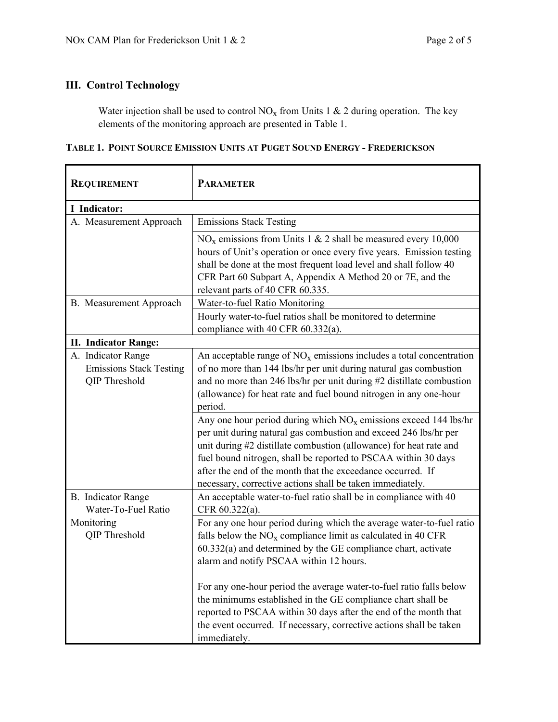### **III. Control Technology**

Water injection shall be used to control  $NO<sub>x</sub>$  from Units 1 & 2 during operation. The key elements of the monitoring approach are presented in Table 1.

|  |  |  |  | Table 1. Point Source Emission Units at Puget Sound Energy - Frederickson |
|--|--|--|--|---------------------------------------------------------------------------|
|--|--|--|--|---------------------------------------------------------------------------|

| <b>REQUIREMENT</b>                                                    | <b>PARAMETER</b>                                                                                                                                                                                                                                                                                                                                                                                                                                                                                                                                                                                                                                                                                                  |
|-----------------------------------------------------------------------|-------------------------------------------------------------------------------------------------------------------------------------------------------------------------------------------------------------------------------------------------------------------------------------------------------------------------------------------------------------------------------------------------------------------------------------------------------------------------------------------------------------------------------------------------------------------------------------------------------------------------------------------------------------------------------------------------------------------|
| I Indicator:                                                          |                                                                                                                                                                                                                                                                                                                                                                                                                                                                                                                                                                                                                                                                                                                   |
| A. Measurement Approach                                               | <b>Emissions Stack Testing</b>                                                                                                                                                                                                                                                                                                                                                                                                                                                                                                                                                                                                                                                                                    |
|                                                                       | $NOx$ emissions from Units 1 & 2 shall be measured every 10,000<br>hours of Unit's operation or once every five years. Emission testing<br>shall be done at the most frequent load level and shall follow 40<br>CFR Part 60 Subpart A, Appendix A Method 20 or 7E, and the<br>relevant parts of 40 CFR 60.335.                                                                                                                                                                                                                                                                                                                                                                                                    |
| B. Measurement Approach                                               | Water-to-fuel Ratio Monitoring                                                                                                                                                                                                                                                                                                                                                                                                                                                                                                                                                                                                                                                                                    |
|                                                                       | Hourly water-to-fuel ratios shall be monitored to determine<br>compliance with 40 CFR 60.332(a).                                                                                                                                                                                                                                                                                                                                                                                                                                                                                                                                                                                                                  |
| <b>II. Indicator Range:</b>                                           |                                                                                                                                                                                                                                                                                                                                                                                                                                                                                                                                                                                                                                                                                                                   |
| A. Indicator Range<br><b>Emissions Stack Testing</b><br>QIP Threshold | An acceptable range of $NO_x$ emissions includes a total concentration<br>of no more than 144 lbs/hr per unit during natural gas combustion<br>and no more than 246 lbs/hr per unit during #2 distillate combustion<br>(allowance) for heat rate and fuel bound nitrogen in any one-hour<br>period.<br>Any one hour period during which $NOx$ emissions exceed 144 lbs/hr<br>per unit during natural gas combustion and exceed 246 lbs/hr per<br>unit during #2 distillate combustion (allowance) for heat rate and<br>fuel bound nitrogen, shall be reported to PSCAA within 30 days<br>after the end of the month that the exceedance occurred. If<br>necessary, corrective actions shall be taken immediately. |
| <b>B.</b> Indicator Range<br>Water-To-Fuel Ratio                      | An acceptable water-to-fuel ratio shall be in compliance with 40<br>CFR 60.322(a).                                                                                                                                                                                                                                                                                                                                                                                                                                                                                                                                                                                                                                |
| Monitoring<br>QIP Threshold                                           | For any one hour period during which the average water-to-fuel ratio<br>falls below the $NOx$ compliance limit as calculated in 40 CFR<br>$60.332(a)$ and determined by the GE compliance chart, activate<br>alarm and notify PSCAA within 12 hours.<br>For any one-hour period the average water-to-fuel ratio falls below<br>the minimums established in the GE compliance chart shall be<br>reported to PSCAA within 30 days after the end of the month that<br>the event occurred. If necessary, corrective actions shall be taken<br>immediately.                                                                                                                                                            |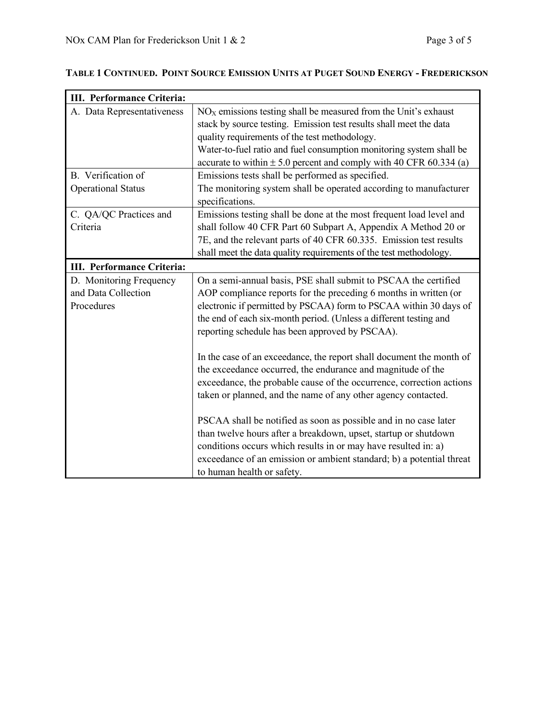7

 $\mathbf{r}$ 

| III. Performance Criteria:                                   |                                                                                                                                                                                                                                                                                                                                  |
|--------------------------------------------------------------|----------------------------------------------------------------------------------------------------------------------------------------------------------------------------------------------------------------------------------------------------------------------------------------------------------------------------------|
| A. Data Representativeness                                   | $NOX$ emissions testing shall be measured from the Unit's exhaust<br>stack by source testing. Emission test results shall meet the data<br>quality requirements of the test methodology.                                                                                                                                         |
|                                                              | Water-to-fuel ratio and fuel consumption monitoring system shall be<br>accurate to within $\pm$ 5.0 percent and comply with 40 CFR 60.334 (a)                                                                                                                                                                                    |
| B. Verification of                                           | Emissions tests shall be performed as specified.                                                                                                                                                                                                                                                                                 |
| <b>Operational Status</b>                                    | The monitoring system shall be operated according to manufacturer<br>specifications.                                                                                                                                                                                                                                             |
| C. QA/QC Practices and<br>Criteria                           | Emissions testing shall be done at the most frequent load level and<br>shall follow 40 CFR Part 60 Subpart A, Appendix A Method 20 or<br>7E, and the relevant parts of 40 CFR 60.335. Emission test results<br>shall meet the data quality requirements of the test methodology.                                                 |
| III. Performance Criteria:                                   |                                                                                                                                                                                                                                                                                                                                  |
| D. Monitoring Frequency<br>and Data Collection<br>Procedures | On a semi-annual basis, PSE shall submit to PSCAA the certified<br>AOP compliance reports for the preceding 6 months in written (or<br>electronic if permitted by PSCAA) form to PSCAA within 30 days of<br>the end of each six-month period. (Unless a different testing and<br>reporting schedule has been approved by PSCAA). |
|                                                              | In the case of an exceedance, the report shall document the month of<br>the exceedance occurred, the endurance and magnitude of the<br>exceedance, the probable cause of the occurrence, correction actions<br>taken or planned, and the name of any other agency contacted.                                                     |
|                                                              | PSCAA shall be notified as soon as possible and in no case later<br>than twelve hours after a breakdown, upset, startup or shutdown<br>conditions occurs which results in or may have resulted in: a)<br>exceedance of an emission or ambient standard; b) a potential threat<br>to human health or safety.                      |

## **TABLE 1 CONTINUED. POINT SOURCE EMISSION UNITS AT PUGET SOUND ENERGY - FREDERICKSON**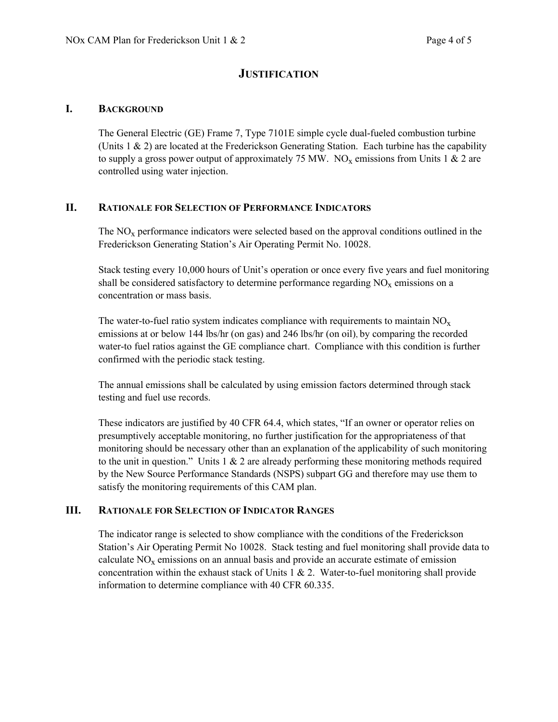### **JUSTIFICATION**

#### **I. BACKGROUND**

The General Electric (GE) Frame 7, Type 7101E simple cycle dual-fueled combustion turbine (Units 1 & 2) are located at the Frederickson Generating Station. Each turbine has the capability to supply a gross power output of approximately 75 MW. NO<sub>x</sub> emissions from Units 1 & 2 are controlled using water injection.

#### **II. RATIONALE FOR SELECTION OF PERFORMANCE INDICATORS**

The  $NO<sub>x</sub>$  performance indicators were selected based on the approval conditions outlined in the Frederickson Generating Station's Air Operating Permit No. 10028.

Stack testing every 10,000 hours of Unit's operation or once every five years and fuel monitoring shall be considered satisfactory to determine performance regarding  $NO<sub>x</sub>$  emissions on a concentration or mass basis.

The water-to-fuel ratio system indicates compliance with requirements to maintain  $NO<sub>x</sub>$ emissions at or below 144 lbs/hr (on gas) and 246 lbs/hr (on oil), by comparing the recorded water-to fuel ratios against the GE compliance chart. Compliance with this condition is further confirmed with the periodic stack testing.

The annual emissions shall be calculated by using emission factors determined through stack testing and fuel use records.

These indicators are justified by 40 CFR 64.4, which states, "If an owner or operator relies on presumptively acceptable monitoring, no further justification for the appropriateness of that monitoring should be necessary other than an explanation of the applicability of such monitoring to the unit in question." Units  $1 \& 2$  are already performing these monitoring methods required by the New Source Performance Standards (NSPS) subpart GG and therefore may use them to satisfy the monitoring requirements of this CAM plan.

#### **III. RATIONALE FOR SELECTION OF INDICATOR RANGES**

The indicator range is selected to show compliance with the conditions of the Frederickson Station's Air Operating Permit No 10028. Stack testing and fuel monitoring shall provide data to calculate  $NO<sub>x</sub>$  emissions on an annual basis and provide an accurate estimate of emission concentration within the exhaust stack of Units  $1 \& 2$ . Water-to-fuel monitoring shall provide information to determine compliance with 40 CFR 60.335.